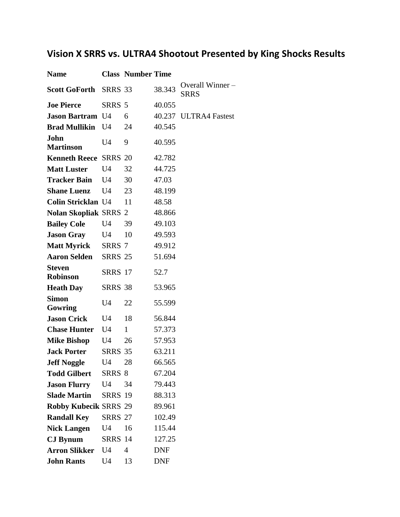## **Vision X SRRS vs. ULTRA4 Shootout Presented by King Shocks Results**

| <b>Name</b>                      |                | <b>Class Number Time</b> |            |                                |
|----------------------------------|----------------|--------------------------|------------|--------------------------------|
| <b>Scott GoForth</b>             | SRRS 33        |                          | 38.343     | Overall Winner-<br><b>SRRS</b> |
| <b>Joe Pierce</b>                | SRRS 5         |                          | 40.055     |                                |
| <b>Jason Bartram U4</b>          |                | 6                        |            | 40.237 ULTRA4 Fastest          |
| <b>Brad Mullikin</b>             | U <sub>4</sub> | 24                       | 40.545     |                                |
| John<br><b>Martinson</b>         | U4             | 9                        | 40.595     |                                |
| <b>Kenneth Reece SRRS 20</b>     |                |                          | 42.782     |                                |
| <b>Matt Luster</b>               | U <sub>4</sub> | 32                       | 44.725     |                                |
| <b>Tracker Bain</b>              | U <sub>4</sub> | 30                       | 47.03      |                                |
| <b>Shane Luenz</b>               | U4             | 23                       | 48.199     |                                |
| <b>Colin Stricklan U4</b>        |                | 11                       | 48.58      |                                |
| <b>Nolan Skopliak SRRS 2</b>     |                |                          | 48.866     |                                |
| <b>Bailey Cole</b>               | U <sub>4</sub> | 39                       | 49.103     |                                |
| <b>Jason Gray</b>                | U <sub>4</sub> | 10                       | 49.593     |                                |
| <b>Matt Myrick</b>               | SRRS 7         |                          | 49.912     |                                |
| <b>Aaron Selden</b>              | <b>SRRS 25</b> |                          | 51.694     |                                |
| <b>Steven</b><br><b>Robinson</b> | <b>SRRS</b> 17 |                          | 52.7       |                                |
| <b>Heath Day</b>                 | <b>SRRS 38</b> |                          | 53.965     |                                |
| <b>Simon</b><br>Gowring          | U4             | 22                       | 55.599     |                                |
| <b>Jason Crick</b>               | U <sub>4</sub> | 18                       | 56.844     |                                |
| <b>Chase Hunter</b>              | U4             | $\mathbf{1}$             | 57.373     |                                |
| <b>Mike Bishop</b>               | U4             | 26                       | 57.953     |                                |
| <b>Jack Porter</b>               | <b>SRRS 35</b> |                          | 63.211     |                                |
| <b>Jeff Noggle</b>               | U4             | 28                       | 66.565     |                                |
| <b>Todd Gilbert</b>              | SRRS 8         |                          | 67.204     |                                |
| <b>Jason Flurry</b>              | U4             | 34                       | 79.443     |                                |
| <b>Slade Martin</b>              | <b>SRRS 19</b> |                          | 88.313     |                                |
| <b>Robby Kubecik SRRS 29</b>     |                |                          | 89.961     |                                |
| <b>Randall Key</b>               | <b>SRRS 27</b> |                          | 102.49     |                                |
| <b>Nick Langen</b>               | U <sub>4</sub> | 16                       | 115.44     |                                |
| <b>CJ</b> Bynum                  | <b>SRRS 14</b> |                          | 127.25     |                                |
| <b>Arron Slikker</b>             | U <sub>4</sub> | $\overline{4}$           | <b>DNF</b> |                                |
| <b>John Rants</b>                | U4             | 13                       | DNF        |                                |